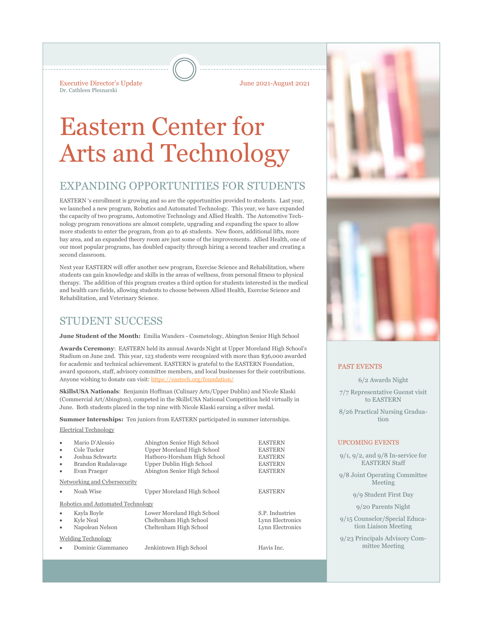Executive Director's Update June 2021-August 2021 Dr. Cathleen Plesnarski

# Eastern Center for Arts and Technology

# EXPANDING OPPORTUNITIES FOR STUDENTS

EASTERN 's enrollment is growing and so are the opportunities provided to students. Last year, we launched a new program, Robotics and Automated Technology. This year, we have expanded the capacity of two programs, Automotive Technology and Allied Health. The Automotive Technology program renovations are almost complete, upgrading and expanding the space to allow more students to enter the program, from 40 to 46 students. New floors, additional lifts, more bay area, and an expanded theory room are just some of the improvements. Allied Health, one of our most popular programs, has doubled capacity through hiring a second teacher and creating a second classroom.

Next year EASTERN will offer another new program, Exercise Science and Rehabilitation, where students can gain knowledge and skills in the areas of wellness, from personal fitness to physical therapy. The addition of this program creates a third option for students interested in the medical and health care fields, allowing students to choose between Allied Health, Exercise Science and Rehabilitation, and Veterinary Science.

# STUDENT SUCCESS

**June Student of the Month:** Emilia Wanders - Cosmetology, Abington Senior High School

**Awards Ceremony**: EASTERN held its annual Awards Night at Upper Moreland High School's Stadium on June 2nd. This year, 123 students were recognized with more than \$36,000 awarded for academic and technical achievement. EASTERN is grateful to the EASTERN Foundation, award sponsors, staff, advisory committee members, and local businesses for their contributions. Anyone wishing to donate can visit: https://eastech.org/foundation/

**SkillsUSA Nationals**: Benjamin Hoffman (Culinary Arts/Upper Dublin) and Nicole Klaski (Commercial Art/Abington), competed in the SkillsUSA National Competition held virtually in June. Both students placed in the top nine with Nicole Klaski earning a silver medal.

**Summer Internships:** Ten juniors from EASTERN participated in summer internships. Electrical Technology

| LICULIUM TUUHIUIUS Y |  |
|----------------------|--|
|                      |  |
|                      |  |

|                                   | Mario D'Alessio              | Abington Senior High School | <b>EASTERN</b>   |  |
|-----------------------------------|------------------------------|-----------------------------|------------------|--|
| $\bullet$                         | Cole Tucker                  | Upper Moreland High School  | <b>EASTERN</b>   |  |
| ٠                                 | Joshua Schwartz              | Hatboro-Horsham High School | <b>EASTERN</b>   |  |
| ٠                                 | Brandon Rudalavage           | Upper Dublin High School    | <b>EASTERN</b>   |  |
| ٠                                 | Evan Praeger                 | Abington Senior High School | <b>EASTERN</b>   |  |
|                                   | Networking and Cybersecurity |                             |                  |  |
|                                   | Noah Wise                    | Upper Moreland High School  | <b>EASTERN</b>   |  |
| Robotics and Automated Technology |                              |                             |                  |  |
| ٠                                 | Kayla Boyle                  | Lower Moreland High School  | S.P. Industries  |  |
| ٠                                 | Kyle Neal                    | Cheltenham High School      | Lynn Electronics |  |
| ٠                                 | Napolean Nelson              | Cheltenham High School      | Lynn Electronics |  |
|                                   | <b>Welding Technology</b>    |                             |                  |  |
|                                   | Dominic Giammanco            | Jenkintown High School      | Havis Inc.       |  |
|                                   |                              |                             |                  |  |



#### PAST EVENTS

6/2 Awards Night

7/7 Representative Guenst visit to EASTERN

8/26 Practical Nursing Graduation

### UPCOMING EVENTS

9/1, 9/2, and 9/8 In-service for EASTERN Staff

9/8 Joint Operating Committee Meeting

9/9 Student First Day

9/20 Parents Night

9/15 Counselor/Special Education Liaison Meeting

9/23 Principals Advisory Committee Meeting